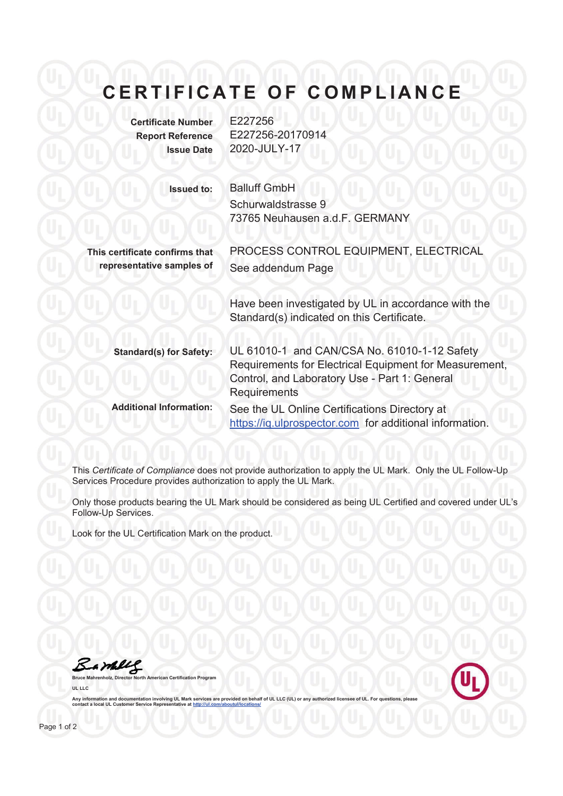## **CERTIFICATE OF COMPLIANCE**

**Certificate Number** E227256 **Report Reference** E227256-20170914 **Issue Date** 2020-JULY-17

See addendum Page

**Issued to:** Balluff GmbH Schurwaldstrasse 9 73765 Neuhausen a.d.F. GERMANY

**This certificate confirms that representative samples of** 

> Have been investigated by UL in accordance with the Standard(s) indicated on this Certificate.

PROCESS CONTROL EQUIPMENT, ELECTRICAL

| <b>Standard(s) for Safety:</b> | UL 61010-1 and CAN/CSA No. 61010-1-12 Safety<br>Requirements for Electrical Equipment for Measurement,<br>Control, and Laboratory Use - Part 1: General<br><b>Requirements</b> |
|--------------------------------|--------------------------------------------------------------------------------------------------------------------------------------------------------------------------------|
| <b>Additional Information:</b> | See the UL Online Certifications Directory at<br>https://iq.ulprospector.com for additional information.                                                                       |

This *Certificate of Compliance* does not provide authorization to apply the UL Mark. Only the UL Follow-Up Services Procedure provides authorization to apply the UL Mark.

Only those products bearing the UL Mark should be considered as being UL Certified and covered under UL's Follow-Up Services.

Look for the UL Certification Mark on the product.

Barkey **Bruce Mahrenholz, Director North American Certification Program**

**UL LLC**

Any information and documentation involving UL Mark services are provided on behalf of UL LLC (UL) or any authorized licensee of UL. For questions, please<br>contact a local UL Customer Service Representative at <u>http://ul.co</u>